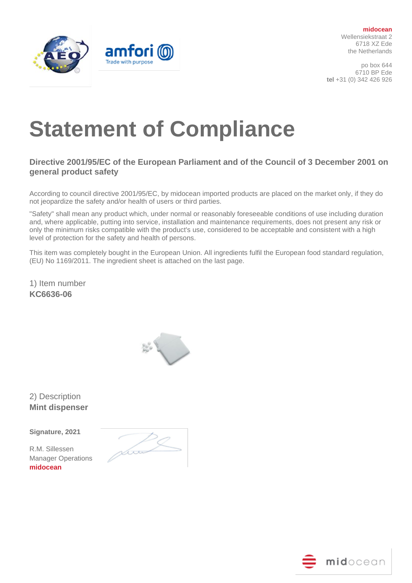

**midocean** Wellensiekstraat 2 6718 XZ Ede the Netherlands

po box 644 6710 BP Ede **tel** +31 (0) 342 426 926

## **Statement of Compliance**

## **Directive 2001/95/EC of the European Parliament and of the Council of 3 December 2001 on general product safety**

According to council directive 2001/95/EC, by midocean imported products are placed on the market only, if they do not jeopardize the safety and/or health of users or third parties.

"Safety" shall mean any product which, under normal or reasonably foreseeable conditions of use including duration and, where applicable, putting into service, installation and maintenance requirements, does not present any risk or only the minimum risks compatible with the product's use, considered to be acceptable and consistent with a high level of protection for the safety and health of persons.

This item was completely bought in the European Union. All ingredients fulfil the European food standard regulation, (EU) No 1169/2011. The ingredient sheet is attached on the last page.

1) Item number **KC6636-06**



2) Description **Mint dispenser**

**Signature, 2021** 

R.M. Sillessen Manager Operations **midocean**

-<br>Soo